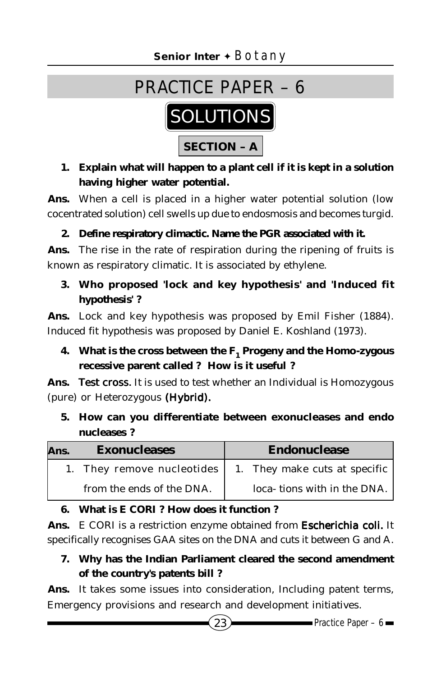

**1. Explain what will happen to a plant cell if it is kept in a solution having higher water potential.**

**Ans.** When a cell is placed in a higher water potential solution (low cocentrated solution) cell swells up due to endosmosis and becomes turgid.

## **2. Define respiratory climactic. Name the PGR associated with it.**

**Ans.** The rise in the rate of respiration during the ripening of fruits is known as respiratory climatic. It is associated by ethylene.

## **3. Who proposed 'lock and key hypothesis' and 'Induced fit hypothesis' ?**

**Ans.** Lock and key hypothesis was proposed by Emil Fisher (1884). Induced fit hypothesis was proposed by Daniel E. Koshland (1973).

**4.** What is the cross between the F<sub>1</sub> Progeny and the Homo-zygous **recessive parent called ? How is it useful ?**

Ans. Test cross. It is used to test whether an Individual is Homozygous (pure) or Heterozygous *(Hybrid).*

**5. How can you differentiate between exonucleases and endo nucleases ?**

| Ans. | <b>Exonucleases</b>        | Endonuclease                  |
|------|----------------------------|-------------------------------|
|      | 1. They remove nucleotides | 1. They make cuts at specific |
|      | from the ends of the DNA.  | loca-tions with in the DNA.   |

## **6. What is E CORI ? How does it function ?**

**Ans.** E CORI is a restriction enzyme obtained from *Escherichia coli. coli.* It specifically recognises GAA sites on the DNA and cuts it between G and A.

**7. Why has the Indian Parliament cleared the second amendment of the country's patents bill ?**

**Ans.** It takes some issues into consideration, Including patent terms, Emergency provisions and research and development initiatives.

 $(23)$  Practice Paper – 6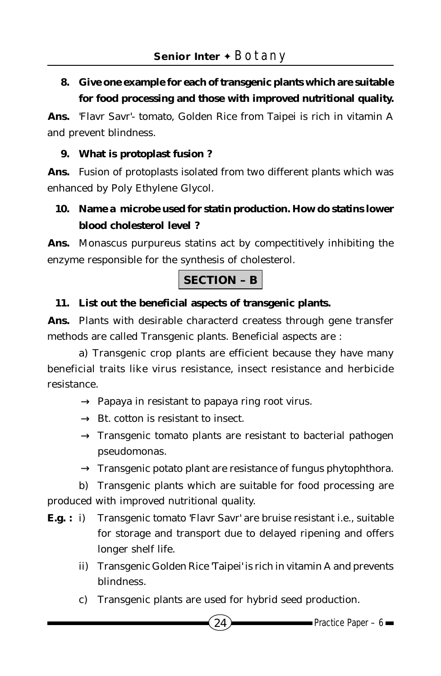## **8. Give one example for each of transgenic plants which are suitable for food processing and those with improved nutritional quality.**

**Ans.** 'Flavr Savr'- tomato, Golden Rice from Taipei is rich in vitamin A and prevent blindness.

### **9. What is protoplast fusion ?**

**Ans.** Fusion of protoplasts isolated from two different plants which was enhanced by Poly Ethylene Glycol.

## **10. Name a microbe used for statin production. How do statins lower blood cholesterol level ?**

**Ans.** Monascus purpureus statins act by compectitively inhibiting the enzyme responsible for the synthesis of cholesterol.

## **SECTION – B**

#### **11. List out the beneficial aspects of transgenic plants.**

**Ans.** Plants with desirable characterd createss through gene transfer methods are called Transgenic plants. Beneficial aspects are :

a) Transgenic crop plants are efficient because they have many beneficial traits like virus resistance, insect resistance and herbicide resistance.

- $\rightarrow$  Papaya in resistant to papaya ring root virus.
- $\rightarrow$  Bt. cotton is resistant to insect.
- $\rightarrow$  Transgenic tomato plants are resistant to bacterial pathogen pseudomonas.
- $\rightarrow$  Transgenic potato plant are resistance of fungus phytophthora.

b) Transgenic plants which are suitable for food processing are produced with improved nutritional quality.

- **E.g. :** i) Transgenic tomato 'Flavr Savr' are bruise resistant i.e., suitable for storage and transport due to delayed ripening and offers longer shelf life.
	- ii) Transgenic Golden Rice 'Taipei' is rich in vitamin A and prevents blindness.
	- c) Transgenic plants are used for hybrid seed production.

 $24$  Practice Paper – 6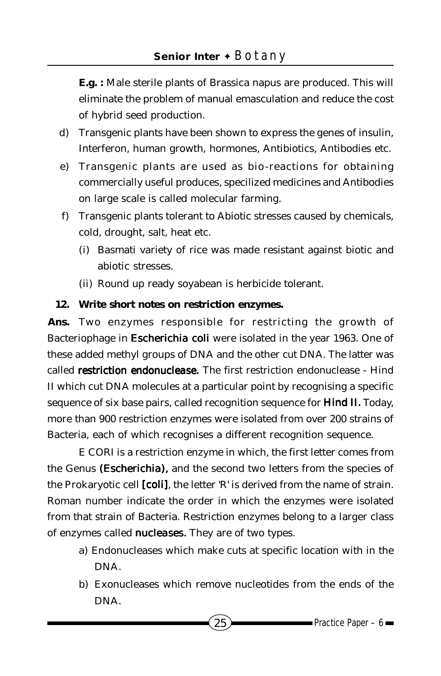**E.g. :** Male sterile plants of Brassica napus are produced. This will eliminate the problem of manual emasculation and reduce the cost of hybrid seed production.

- d) Transgenic plants have been shown to express the genes of insulin, Interferon, human growth, hormones, Antibiotics, Antibodies etc.
- e) Transgenic plants are used as bio-reactions for obtaining commercially useful produces, specilized medicines and Antibodies on large scale is called molecular farming.
- f) Transgenic plants tolerant to Abiotic stresses caused by chemicals, cold, drought, salt, heat etc.
	- (i) Basmati variety of rice was made resistant against biotic and abiotic stresses.
	- (ii) Round up ready soyabean is herbicide tolerant.

## **12. Write short notes on restriction enzymes.**

**Ans.** Two enzymes responsible for restricting the growth of Bacteriophage in *Escherichia coli* were isolated in the year 1963. One of these added methyl groups of DNA and the other cut DNA. The latter was called *restriction endonuclease.* The first restriction endonuclease - Hind II which cut DNA molecules at a particular point by recognising a specific sequence of six base pairs, called recognition sequence for *Hind II. Hind II.* Today, more than 900 restriction enzymes were isolated from over 200 strains of Bacteria, each of which recognises a different recognition sequence.

E CORI is a restriction enzyme in which, the first letter comes from the Genus *(Escherichia)*, and the second two letters from the species of the Prokaryotic cell *[coli]*, the letter 'R' is derived from the name of strain. Roman number indicate the order in which the enzymes were isolated from that strain of Bacteria. Restriction enzymes belong to a larger class of enzymes called *nucleases.* They are of two types.

- a) Endonucleases which make cuts at specific location with in the DNA.
- b) Exonucleases which remove nucleotides from the ends of the DNA.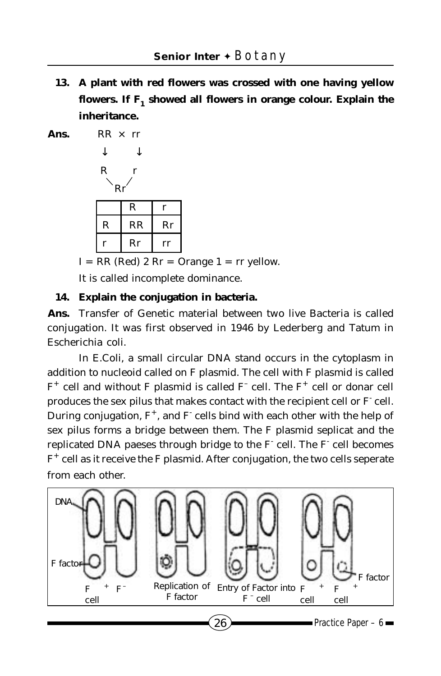**13. A plant with red flowers was crossed with one having yellow** flowers. If F<sub>1</sub> showed all flowers in orange colour. Explain the **inheritance.**

**Ans.** RR × rr

 ↓ ↓ R r Rr R r R RR Rr r Rr rr

 $I = RR$  (Red) 2 Rr = Orange  $1 = rr$  yellow.

It is called incomplete dominance.

#### **14. Explain the conjugation in bacteria.**

**Ans.** Transfer of Genetic material between two live Bacteria is called conjugation. It was first observed in 1946 by Lederberg and Tatum in Escherichia coli.

In E.Coli, a small circular DNA stand occurs in the cytoplasm in addition to nucleoid called on F plasmid. The cell with F plasmid is called  $F^+$  cell and without F plasmid is called  $F^-$  cell. The  $F^+$  cell or donar cell produces the sex pilus that makes contact with the recipient cell or F<sup>-</sup> cell. During conjugation,  $F^+$ , and  $F^-$  cells bind with each other with the help of sex pilus forms a bridge between them. The F plasmid seplicat and the replicated DNA paeses through bridge to the F cell. The F cell becomes  $F^+$  cell as it receive the F plasmid. After conjugation, the two cells seperate from each other.

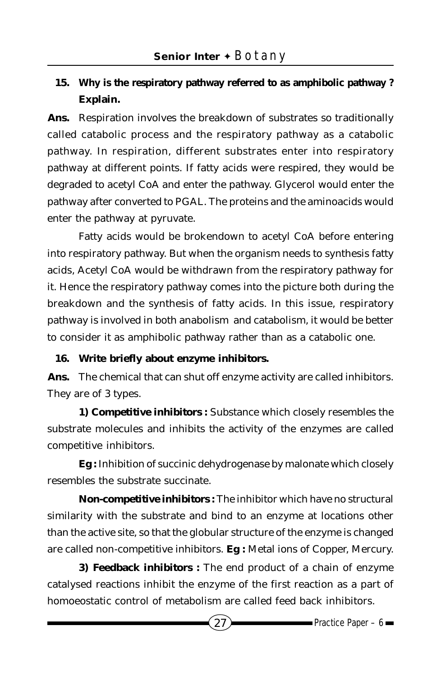## **15. Why is the respiratory pathway referred to as amphibolic pathway ? Explain.**

**Ans.** Respiration involves the breakdown of substrates so traditionally called catabolic process and the respiratory pathway as a catabolic pathway. In respiration, different substrates enter into respiratory pathway at different points. If fatty acids were respired, they would be degraded to acetyl CoA and enter the pathway. Glycerol would enter the pathway after converted to PGAL. The proteins and the aminoacids would enter the pathway at pyruvate.

Fatty acids would be brokendown to acetyl CoA before entering into respiratory pathway. But when the organism needs to synthesis fatty acids, Acetyl CoA would be withdrawn from the respiratory pathway for it. Hence the respiratory pathway comes into the picture both during the breakdown and the synthesis of fatty acids. In this issue, respiratory pathway is involved in both anabolism and catabolism, it would be better to consider it as amphibolic pathway rather than as a catabolic one.

#### **16. Write briefly about enzyme inhibitors.**

**Ans.** The chemical that can shut off enzyme activity are called inhibitors. They are of 3 types.

**1) Competitive inhibitors :** Substance which closely resembles the substrate molecules and inhibits the activity of the enzymes are called competitive inhibitors.

**Eg :** Inhibition of succinic dehydrogenase by malonate which closely resembles the substrate succinate.

**Non-competitive inhibitors :** The inhibitor which have no structural similarity with the substrate and bind to an enzyme at locations other than the active site, so that the globular structure of the enzyme is changed are called non-competitive inhibitors. **Eg :** Metal ions of Copper, Mercury.

**3) Feedback inhibitors :** The end product of a chain of enzyme catalysed reactions inhibit the enzyme of the first reaction as a part of homoeostatic control of metabolism are called feed back inhibitors.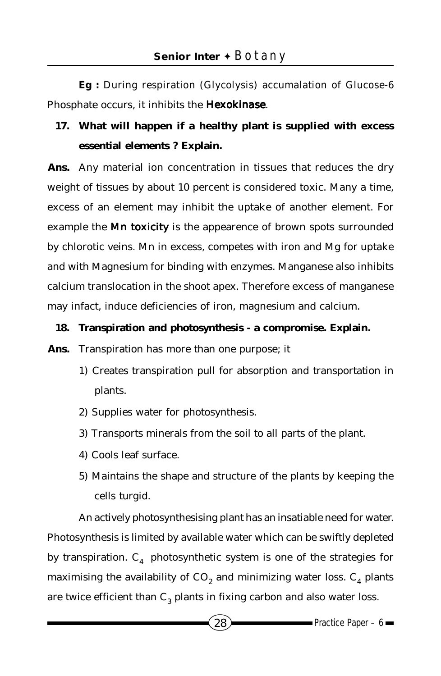**Eg :** During respiration (Glycolysis) accumalation of Glucose-6 Phosphate occurs, it inhibits the *Hexokinase*.

# **17. What will happen if a healthy plant is supplied with excess essential elements ? Explain.**

**Ans.** Any material ion concentration in tissues that reduces the dry weight of tissues by about 10 percent is considered toxic. Many a time, excess of an element may inhibit the uptake of another element. For example the *Mn toxicity* is the appearence of brown spots surrounded by chlorotic veins. Mn in excess, competes with iron and Mg for uptake and with Magnesium for binding with enzymes. Manganese also inhibits calcium translocation in the shoot apex. Therefore excess of manganese may infact, induce deficiencies of iron, magnesium and calcium.

#### **18. Transpiration and photosynthesis - a compromise. Explain.**

**Ans.** Transpiration has more than one purpose; it

- 1) Creates transpiration pull for absorption and transportation in plants.
- 2) Supplies water for photosynthesis.
- 3) Transports minerals from the soil to all parts of the plant.
- 4) Cools leaf surface.
- 5) Maintains the shape and structure of the plants by keeping the cells turgid.

An actively photosynthesising plant has an insatiable need for water. Photosynthesis is limited by available water which can be swiftly depleted by transpiration.  $C_4$  photosynthetic system is one of the strategies for maximising the availability of  $\mathrm{CO}_2$  and minimizing water loss.  $\mathrm{C}_4$  plants are twice efficient than  $C_3$  plants in fixing carbon and also water loss.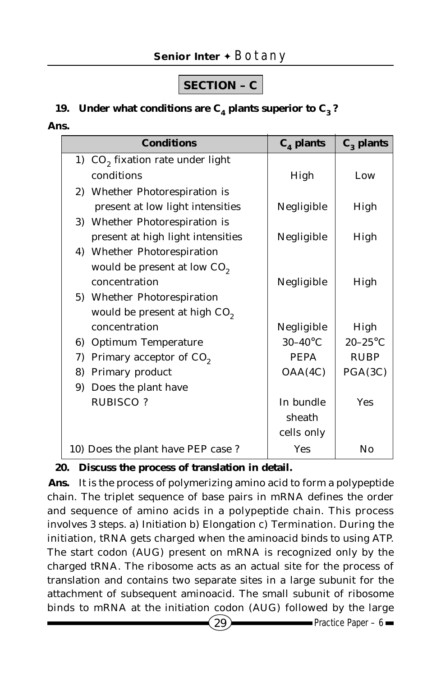# **SECTION – C**

## **19.** Under what conditions are  $C_4$  plants superior to  $C_3$ ?

#### **Ans.**

| <b>Conditions</b>                            | $C_4$ plants      | $C_3$ plants |
|----------------------------------------------|-------------------|--------------|
| 1) CO <sub>2</sub> fixation rate under light |                   |              |
| conditions                                   | High              | Low          |
| 2) Whether Photorespiration is               |                   |              |
| present at low light intensities             | Negligible        | High         |
| 3) Whether Photorespiration is               |                   |              |
| present at high light intensities            | Negligible        | High         |
| 4) Whether Photorespiration                  |                   |              |
| would be present at low CO <sub>2</sub>      |                   |              |
| concentration                                | Negligible        | High         |
| 5) Whether Photorespiration                  |                   |              |
| would be present at high CO <sub>2</sub>     |                   |              |
| concentration                                | Negligible        | High         |
| <b>Optimum Temperature</b><br>6)             | $30-40^{\circ}$ C | $20-25$ °C   |
| Primary acceptor of CO <sub>2</sub><br>7)    | <b>PEPA</b>       | <b>RUBP</b>  |
| Primary product<br>8)                        | OAA(4C)           | PGA(3C)      |
| Does the plant have<br>9)                    |                   |              |
| <b>RUBISCO?</b>                              | In bundle         | Yes          |
|                                              | sheath            |              |
|                                              | cells only        |              |
| 10) Does the plant have PEP case?            | <b>Yes</b>        | No           |

#### **20. Discuss the process of translation in detail.**

**Ans.** It is the process of polymerizing amino acid to form a polypeptide chain. The triplet sequence of base pairs in mRNA defines the order and sequence of amino acids in a polypeptide chain. This process involves 3 steps. a) Initiation b) Elongation c) Termination. During the initiation, tRNA gets charged when the aminoacid binds to using ATP. The start codon (AUG) present on mRNA is recognized only by the charged tRNA. The ribosome acts as an actual site for the process of translation and contains two separate sites in a large subunit for the attachment of subsequent aminoacid. The small subunit of ribosome binds to mRNA at the initiation codon (AUG) followed by the large

 $29$  Practice Paper – 6